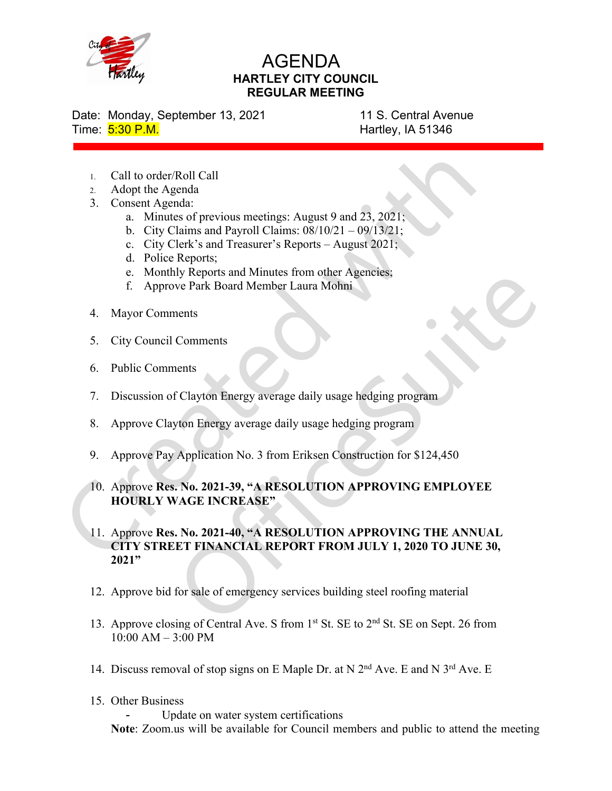

## AGENDA HARTLEY CITY COUNCIL REGULAR MEETING

Date: Monday, September 13, 2021 11 S. Central Avenue

Time: 5:30 P.M. **Hartley, IA 51346** 

- 1. Call to order/Roll Call
- 2. Adopt the Agenda
- 3. Consent Agenda:
	- a. Minutes of previous meetings: August 9 and 23, 2021;
	- b. City Claims and Payroll Claims:  $08/10/21 09/13/21$ ;
	- c. City Clerk's and Treasurer's Reports August 2021;
	- d. Police Reports;
	- e. Monthly Reports and Minutes from other Agencies;
	- f. Approve Park Board Member Laura Mohni
- 4. Mayor Comments
- 5. City Council Comments
- 6. Public Comments
- 7. Discussion of Clayton Energy average daily usage hedging program
- 8. Approve Clayton Energy average daily usage hedging program
- 9. Approve Pay Application No. 3 from Eriksen Construction for \$124,450
- 10. Approve Res. No. 2021-39, "A RESOLUTION APPROVING EMPLOYEE HOURLY WAGE INCREASE"
- 11. Approve Res. No. 2021-40, "A RESOLUTION APPROVING THE ANNUAL CITY STREET FINANCIAL REPORT FROM JULY 1, 2020 TO JUNE 30, 2021"
- 12. Approve bid for sale of emergency services building steel roofing material
- 13. Approve closing of Central Ave. S from 1<sup>st</sup> St. SE to 2<sup>nd</sup> St. SE on Sept. 26 from 10:00 AM – 3:00 PM
- 14. Discuss removal of stop signs on E Maple Dr. at N  $2<sup>nd</sup>$  Ave. E and N  $3<sup>rd</sup>$  Ave. E
- 15. Other Business

Update on water system certifications Note: Zoom.us will be available for Council members and public to attend the meeting